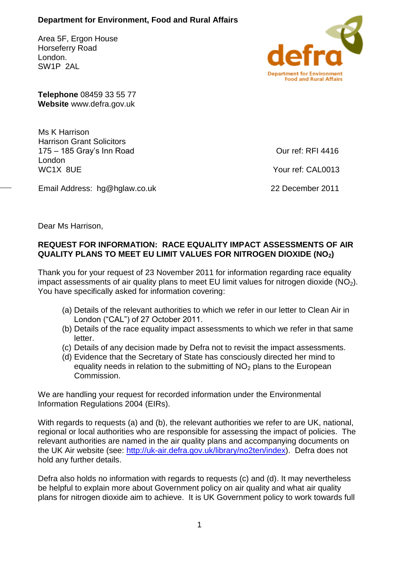## **Department for Environment, Food and Rural Affairs**

Area 5F, Ergon House Horseferry Road London. SW1P 2AL



**Telephone** 08459 33 55 77 **Website** www.defra.gov.uk

Ms K Harrison Harrison Grant Solicitors 175 – 185 Gray's Inn Road London WC1X 8UE

Email Address: hg@hglaw.co.uk

Our ref: RFI 4416

Your ref: CAL0013

22 December 2011

Dear Ms Harrison,

## **REQUEST FOR INFORMATION: RACE EQUALITY IMPACT ASSESSMENTS OF AIR QUALITY PLANS TO MEET EU LIMIT VALUES FOR NITROGEN DIOXIDE (NO2)**

Thank you for your request of 23 November 2011 for information regarding race equality impact assessments of air quality plans to meet EU limit values for nitrogen dioxide ( $NO<sub>2</sub>$ ). You have specifically asked for information covering:

- (a) Details of the relevant authorities to which we refer in our letter to Clean Air in London ("CAL") of 27 October 2011.
- (b) Details of the race equality impact assessments to which we refer in that same letter.
- (c) Details of any decision made by Defra not to revisit the impact assessments.
- (d) Evidence that the Secretary of State has consciously directed her mind to equality needs in relation to the submitting of  $NO<sub>2</sub>$  plans to the European Commission.

We are handling your request for recorded information under the Environmental Information Regulations 2004 (EIRs).

With regards to requests (a) and (b), the relevant authorities we refer to are UK, national, regional or local authorities who are responsible for assessing the impact of policies. The relevant authorities are named in the air quality plans and accompanying documents on the UK Air website (see: [http://uk-air.defra.gov.uk/library/no2ten/index\)](http://uk-air.defra.gov.uk/library/no2ten/index). Defra does not hold any further details.

Defra also holds no information with regards to requests (c) and (d). It may nevertheless be helpful to explain more about Government policy on air quality and what air quality plans for nitrogen dioxide aim to achieve. It is UK Government policy to work towards full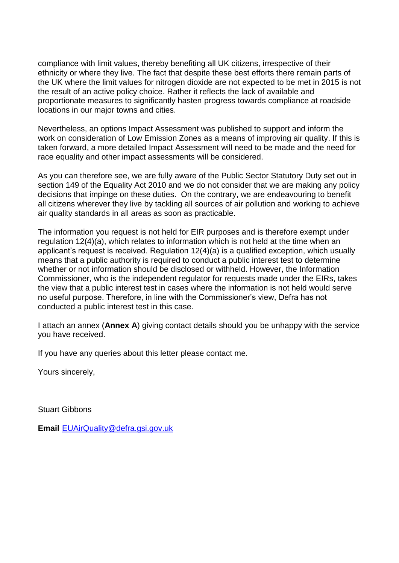compliance with limit values, thereby benefiting all UK citizens, irrespective of their ethnicity or where they live. The fact that despite these best efforts there remain parts of the UK where the limit values for nitrogen dioxide are not expected to be met in 2015 is not the result of an active policy choice. Rather it reflects the lack of available and proportionate measures to significantly hasten progress towards compliance at roadside locations in our major towns and cities.

Nevertheless, an options Impact Assessment was published to support and inform the work on consideration of Low Emission Zones as a means of improving air quality. If this is taken forward, a more detailed Impact Assessment will need to be made and the need for race equality and other impact assessments will be considered.

As you can therefore see, we are fully aware of the Public Sector Statutory Duty set out in section 149 of the Equality Act 2010 and we do not consider that we are making any policy decisions that impinge on these duties. On the contrary, we are endeavouring to benefit all citizens wherever they live by tackling all sources of air pollution and working to achieve air quality standards in all areas as soon as practicable.

The information you request is not held for EIR purposes and is therefore exempt under regulation 12(4)(a), which relates to information which is not held at the time when an applicant's request is received. Regulation 12(4)(a) is a qualified exception, which usually means that a public authority is required to conduct a public interest test to determine whether or not information should be disclosed or withheld. However, the Information Commissioner, who is the independent regulator for requests made under the EIRs, takes the view that a public interest test in cases where the information is not held would serve no useful purpose. Therefore, in line with the Commissioner's view, Defra has not conducted a public interest test in this case.

I attach an annex (**Annex A**) giving contact details should you be unhappy with the service you have received.

If you have any queries about this letter please contact me.

Yours sincerely,

Stuart Gibbons

**Email** [EUAirQuality@defra.gsi.gov.uk](mailto:EUAirQuality@defra.gsi.gov.uk)